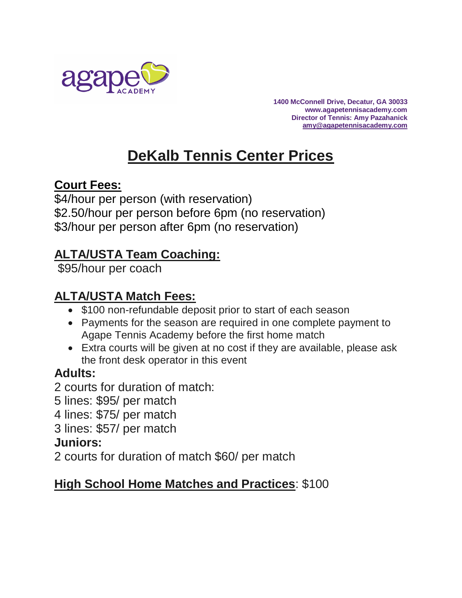

**1400 McConnell Drive, Decatur, GA 30033 www.agapetennisacademy.com Director of Tennis: Amy Pazahanick [amy@agapetennisacademy.com](mailto:amy@agapetennisacademy.com)**

# **DeKalb Tennis Center Prices**

#### **Court Fees:**

\$4/hour per person (with reservation) \$2.50/hour per person before 6pm (no reservation) \$3/hour per person after 6pm (no reservation)

# **ALTA/USTA Team Coaching:**

\$95/hour per coach

# **ALTA/USTA Match Fees:**

- \$100 non-refundable deposit prior to start of each season
- Payments for the season are required in one complete payment to Agape Tennis Academy before the first home match
- Extra courts will be given at no cost if they are available, please ask the front desk operator in this event

# **Adults:**

- 2 courts for duration of match:
- 5 lines: \$95/ per match
- 4 lines: \$75/ per match
- 3 lines: \$57/ per match

# **Juniors:**

2 courts for duration of match \$60/ per match

# **High School Home Matches and Practices**: \$100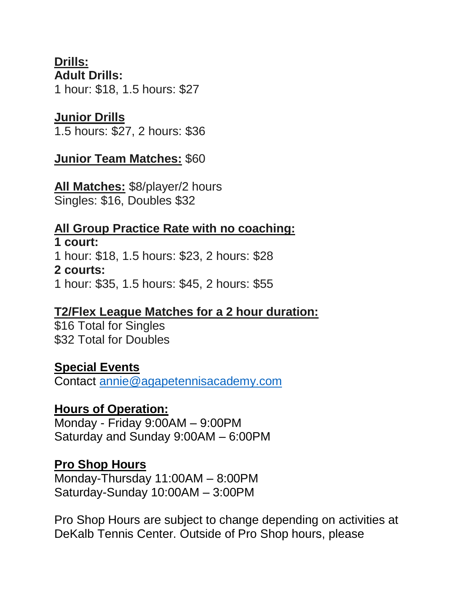# **Drills:**

**Adult Drills:** 1 hour: \$18, 1.5 hours: \$27

#### **Junior Drills**

1.5 hours: \$27, 2 hours: \$36

#### **Junior Team Matches:** \$60

**All Matches:** \$8/player/2 hours Singles: \$16, Doubles \$32

#### **All Group Practice Rate with no coaching: 1 court:**

1 hour: \$18, 1.5 hours: \$23, 2 hours: \$28 **2 courts:** 1 hour: \$35, 1.5 hours: \$45, 2 hours: \$55

# **T2/Flex League Matches for a 2 hour duration:**

\$16 Total for Singles \$32 Total for Doubles

# **Special Events**

Contact [annie@agapetennisacademy.com](mailto:annie@agapetennisacademy.com)

#### **Hours of Operation:**

Monday - Friday 9:00AM – 9:00PM Saturday and Sunday 9:00AM – 6:00PM

#### **Pro Shop Hours**

Monday-Thursday 11:00AM – 8:00PM Saturday-Sunday 10:00AM – 3:00PM

Pro Shop Hours are subject to change depending on activities at DeKalb Tennis Center. Outside of Pro Shop hours, please